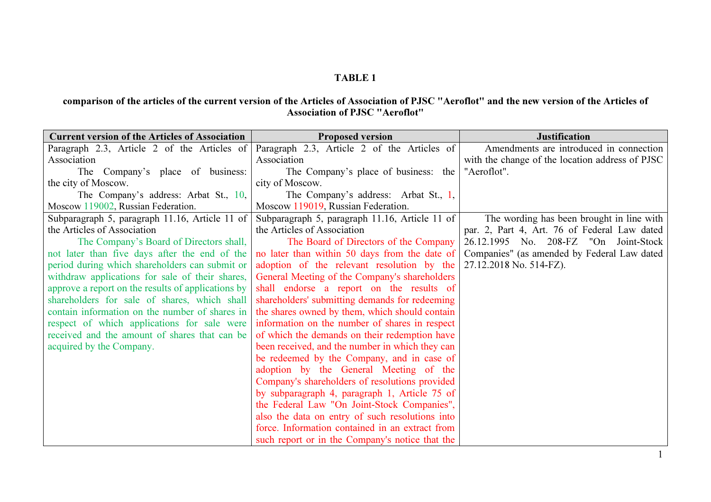## TABLE 1

## comparison of the articles of the current version of the Articles of Association of PJSC "Aeroflot" and the new version of the Articles of Association of PJSC "Aeroflot"

| <b>Current version of the Articles of Association</b> | <b>Proposed version</b>                         | <b>Justification</b>                            |
|-------------------------------------------------------|-------------------------------------------------|-------------------------------------------------|
| Paragraph 2.3, Article 2 of the Articles of           | Paragraph 2.3, Article 2 of the Articles of     | Amendments are introduced in connection         |
| Association                                           | Association                                     | with the change of the location address of PJSC |
| The Company's place of business:                      | The Company's place of business: the            | "Aeroflot".                                     |
| the city of Moscow.                                   | city of Moscow.                                 |                                                 |
| The Company's address: Arbat St., 10,                 | The Company's address: Arbat St., 1,            |                                                 |
| Moscow 119002, Russian Federation.                    | Moscow 119019, Russian Federation.              |                                                 |
| Subparagraph 5, paragraph 11.16, Article 11 of        | Subparagraph 5, paragraph 11.16, Article 11 of  | The wording has been brought in line with       |
| the Articles of Association                           | the Articles of Association                     | par. 2, Part 4, Art. 76 of Federal Law dated    |
| The Company's Board of Directors shall,               | The Board of Directors of the Company           | 26.12.1995 No. 208-FZ "On Joint-Stock           |
| not later than five days after the end of the         | no later than within 50 days from the date of   | Companies" (as amended by Federal Law dated     |
| period during which shareholders can submit or        | adoption of the relevant resolution by the      | 27.12.2018 No. 514-FZ).                         |
| withdraw applications for sale of their shares,       | General Meeting of the Company's shareholders   |                                                 |
| approve a report on the results of applications by    | shall endorse a report on the results of        |                                                 |
| shareholders for sale of shares, which shall          | shareholders' submitting demands for redeeming  |                                                 |
| contain information on the number of shares in        | the shares owned by them, which should contain  |                                                 |
| respect of which applications for sale were           | information on the number of shares in respect  |                                                 |
| received and the amount of shares that can be         | of which the demands on their redemption have   |                                                 |
| acquired by the Company.                              | been received, and the number in which they can |                                                 |
|                                                       | be redeemed by the Company, and in case of      |                                                 |
|                                                       | adoption by the General Meeting of the          |                                                 |
|                                                       | Company's shareholders of resolutions provided  |                                                 |
|                                                       | by subparagraph 4, paragraph 1, Article 75 of   |                                                 |
|                                                       | the Federal Law "On Joint-Stock Companies",     |                                                 |
|                                                       | also the data on entry of such resolutions into |                                                 |
|                                                       | force. Information contained in an extract from |                                                 |
|                                                       | such report or in the Company's notice that the |                                                 |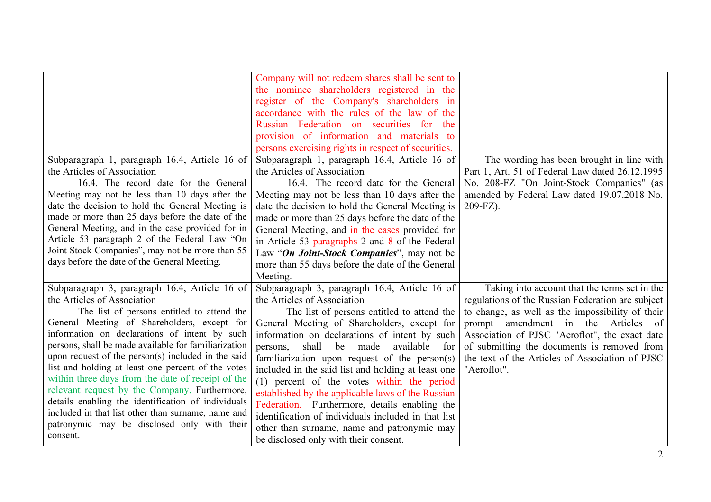|                                                      | Company will not redeem shares shall be sent to     |                                                   |
|------------------------------------------------------|-----------------------------------------------------|---------------------------------------------------|
|                                                      | the nominee shareholders registered in the          |                                                   |
|                                                      | register of the Company's shareholders in           |                                                   |
|                                                      | accordance with the rules of the law of the         |                                                   |
|                                                      | Russian Federation on securities for<br>the         |                                                   |
|                                                      | provision of information and materials to           |                                                   |
|                                                      | persons exercising rights in respect of securities. |                                                   |
| Subparagraph 1, paragraph 16.4, Article 16 of        | Subparagraph 1, paragraph 16.4, Article 16 of       | The wording has been brought in line with         |
| the Articles of Association                          | the Articles of Association                         | Part 1, Art. 51 of Federal Law dated 26.12.1995   |
| 16.4. The record date for the General                | 16.4. The record date for the General               | No. 208-FZ "On Joint-Stock Companies" (as         |
| Meeting may not be less than 10 days after the       | Meeting may not be less than 10 days after the      | amended by Federal Law dated 19.07.2018 No.       |
| date the decision to hold the General Meeting is     | date the decision to hold the General Meeting is    | 209-FZ).                                          |
| made or more than 25 days before the date of the     | made or more than 25 days before the date of the    |                                                   |
| General Meeting, and in the case provided for in     | General Meeting, and in the cases provided for      |                                                   |
| Article 53 paragraph 2 of the Federal Law "On        | in Article 53 paragraphs 2 and 8 of the Federal     |                                                   |
| Joint Stock Companies", may not be more than 55      | Law "On Joint-Stock Companies", may not be          |                                                   |
| days before the date of the General Meeting.         | more than 55 days before the date of the General    |                                                   |
|                                                      | Meeting.                                            |                                                   |
| Subparagraph 3, paragraph 16.4, Article 16 of        | Subparagraph 3, paragraph 16.4, Article 16 of       | Taking into account that the terms set in the     |
| the Articles of Association                          | the Articles of Association                         | regulations of the Russian Federation are subject |
| The list of persons entitled to attend the           | The list of persons entitled to attend the          | to change, as well as the impossibility of their  |
| General Meeting of Shareholders, except for          | General Meeting of Shareholders, except for         | prompt amendment in the Articles<br>of            |
| information on declarations of intent by such        | information on declarations of intent by such       | Association of PJSC "Aeroflot", the exact date    |
| persons, shall be made available for familiarization | shall be made<br>available<br>persons,<br>for       | of submitting the documents is removed from       |
| upon request of the person(s) included in the said   | familiarization upon request of the person(s)       | the text of the Articles of Association of PJSC   |
| list and holding at least one percent of the votes   | included in the said list and holding at least one  | "Aeroflot".                                       |
| within three days from the date of receipt of the    | (1) percent of the votes within the period          |                                                   |
| relevant request by the Company. Furthermore,        | established by the applicable laws of the Russian   |                                                   |
| details enabling the identification of individuals   | Federation. Furthermore, details enabling the       |                                                   |
| included in that list other than surname, name and   | identification of individuals included in that list |                                                   |
| patronymic may be disclosed only with their          | other than surname, name and patronymic may         |                                                   |
| consent.                                             | be disclosed only with their consent.               |                                                   |
|                                                      |                                                     |                                                   |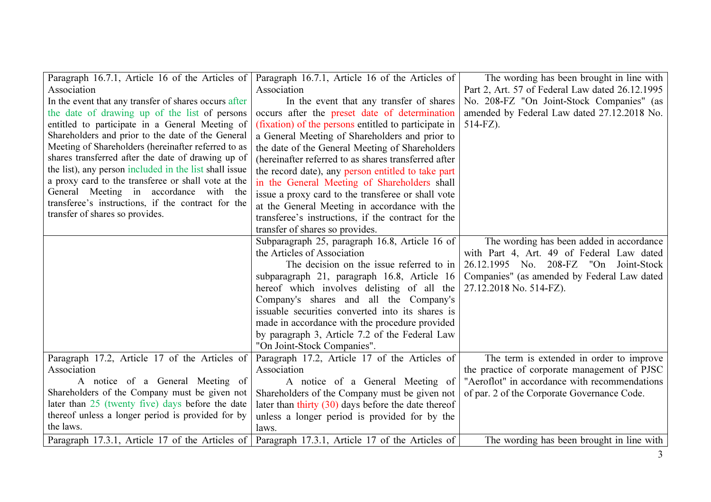| Paragraph 16.7.1, Article 16 of the Articles of        | Paragraph 16.7.1, Article 16 of the Articles of       | The wording has been brought in line with       |
|--------------------------------------------------------|-------------------------------------------------------|-------------------------------------------------|
| Association                                            | Association                                           | Part 2, Art. 57 of Federal Law dated 26.12.1995 |
| In the event that any transfer of shares occurs after  | In the event that any transfer of shares              | No. 208-FZ "On Joint-Stock Companies" (as       |
| the date of drawing up of the list of persons          | occurs after the preset date of determination         | amended by Federal Law dated 27.12.2018 No.     |
| entitled to participate in a General Meeting of        | (fixation) of the persons entitled to participate in  | $514-FZ$ ).                                     |
| Shareholders and prior to the date of the General      | a General Meeting of Shareholders and prior to        |                                                 |
| Meeting of Shareholders (hereinafter referred to as    | the date of the General Meeting of Shareholders       |                                                 |
| shares transferred after the date of drawing up of     | (hereinafter referred to as shares transferred after  |                                                 |
| the list), any person included in the list shall issue | the record date), any person entitled to take part    |                                                 |
| a proxy card to the transferee or shall vote at the    | in the General Meeting of Shareholders shall          |                                                 |
| General Meeting in accordance with the                 | issue a proxy card to the transferee or shall vote    |                                                 |
| transferee's instructions, if the contract for the     | at the General Meeting in accordance with the         |                                                 |
| transfer of shares so provides.                        | transferee's instructions, if the contract for the    |                                                 |
|                                                        | transfer of shares so provides.                       |                                                 |
|                                                        | Subparagraph 25, paragraph 16.8, Article 16 of        | The wording has been added in accordance        |
|                                                        | the Articles of Association                           | with Part 4, Art. 49 of Federal Law dated       |
|                                                        | The decision on the issue referred to in              | 26.12.1995 No. 208-FZ "On Joint-Stock           |
|                                                        | subparagraph 21, paragraph 16.8, Article 16           | Companies" (as amended by Federal Law dated     |
|                                                        | hereof which involves delisting of all the            | 27.12.2018 No. 514-FZ).                         |
|                                                        | Company's shares and all the Company's                |                                                 |
|                                                        | issuable securities converted into its shares is      |                                                 |
|                                                        | made in accordance with the procedure provided        |                                                 |
|                                                        | by paragraph 3, Article 7.2 of the Federal Law        |                                                 |
|                                                        | "On Joint-Stock Companies".                           |                                                 |
| Paragraph 17.2, Article 17 of the Articles of          | Paragraph 17.2, Article 17 of the Articles of         | The term is extended in order to improve        |
| Association                                            | Association                                           | the practice of corporate management of PJSC    |
| A notice of a General Meeting of                       | A notice of a General Meeting of                      | "Aeroflot" in accordance with recommendations   |
| Shareholders of the Company must be given not          | Shareholders of the Company must be given not         | of par. 2 of the Corporate Governance Code.     |
| later than $25$ (twenty five) days before the date     | later than thirty $(30)$ days before the date thereof |                                                 |
| thereof unless a longer period is provided for by      | unless a longer period is provided for by the         |                                                 |
| the laws.                                              | laws.                                                 |                                                 |
| Paragraph 17.3.1, Article 17 of the Articles of        | Paragraph 17.3.1, Article 17 of the Articles of       | The wording has been brought in line with       |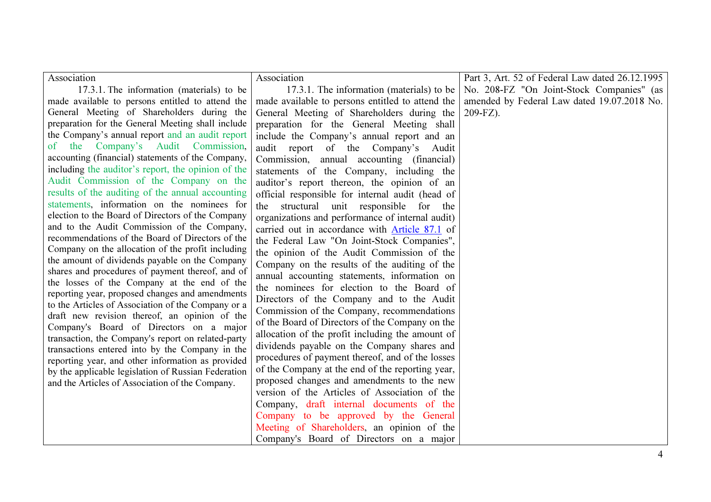| Association                                                                                              | Association                                      | Part 3, Art. 52 of Federal Law dated 26.12.1995 |
|----------------------------------------------------------------------------------------------------------|--------------------------------------------------|-------------------------------------------------|
| 17.3.1. The information (materials) to be                                                                | 17.3.1. The information (materials) to be        | No. 208-FZ "On Joint-Stock Companies" (as       |
| made available to persons entitled to attend the                                                         | made available to persons entitled to attend the | amended by Federal Law dated 19.07.2018 No.     |
| General Meeting of Shareholders during the                                                               | General Meeting of Shareholders during the       | 209-FZ).                                        |
| preparation for the General Meeting shall include                                                        | preparation for the General Meeting shall        |                                                 |
| the Company's annual report and an audit report                                                          | include the Company's annual report and an       |                                                 |
| of the Company's Audit Commission,                                                                       | audit report of the Company's Audit              |                                                 |
| accounting (financial) statements of the Company,                                                        | Commission, annual accounting (financial)        |                                                 |
| including the auditor's report, the opinion of the                                                       | statements of the Company, including the         |                                                 |
| Audit Commission of the Company on the                                                                   | auditor's report thereon, the opinion of an      |                                                 |
| results of the auditing of the annual accounting                                                         | official responsible for internal audit (head of |                                                 |
| statements, information on the nominees for                                                              | the structural unit responsible for the          |                                                 |
| election to the Board of Directors of the Company                                                        | organizations and performance of internal audit) |                                                 |
| and to the Audit Commission of the Company,                                                              | carried out in accordance with Article 87.1 of   |                                                 |
| recommendations of the Board of Directors of the                                                         | the Federal Law "On Joint-Stock Companies",      |                                                 |
| Company on the allocation of the profit including                                                        | the opinion of the Audit Commission of the       |                                                 |
| the amount of dividends payable on the Company                                                           | Company on the results of the auditing of the    |                                                 |
| shares and procedures of payment thereof, and of                                                         | annual accounting statements, information on     |                                                 |
| the losses of the Company at the end of the                                                              | the nominees for election to the Board of        |                                                 |
| reporting year, proposed changes and amendments                                                          | Directors of the Company and to the Audit        |                                                 |
| to the Articles of Association of the Company or a                                                       | Commission of the Company, recommendations       |                                                 |
| draft new revision thereof, an opinion of the                                                            | of the Board of Directors of the Company on the  |                                                 |
| Company's Board of Directors on a major                                                                  | allocation of the profit including the amount of |                                                 |
| transaction, the Company's report on related-party                                                       | dividends payable on the Company shares and      |                                                 |
| transactions entered into by the Company in the                                                          | procedures of payment thereof, and of the losses |                                                 |
| reporting year, and other information as provided<br>by the applicable legislation of Russian Federation | of the Company at the end of the reporting year, |                                                 |
| and the Articles of Association of the Company.                                                          | proposed changes and amendments to the new       |                                                 |
|                                                                                                          | version of the Articles of Association of the    |                                                 |
|                                                                                                          | Company, draft internal documents of the         |                                                 |
|                                                                                                          | Company to be approved by the General            |                                                 |
|                                                                                                          | Meeting of Shareholders, an opinion of the       |                                                 |
|                                                                                                          | Company's Board of Directors on a major          |                                                 |
|                                                                                                          |                                                  |                                                 |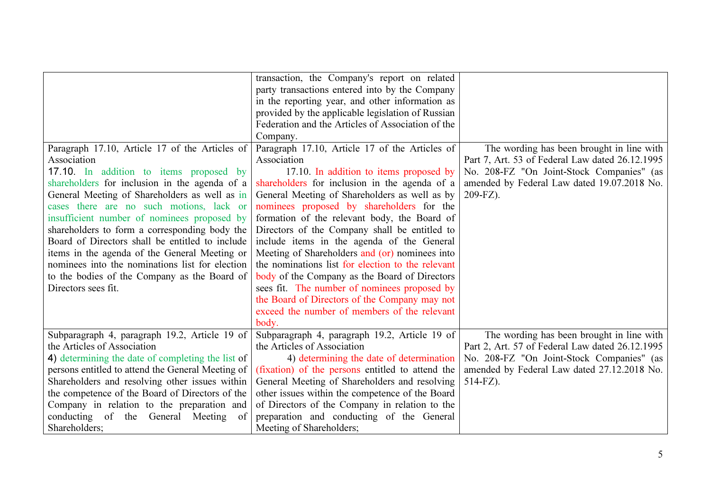|                                                   | transaction, the Company's report on related      |                                                 |
|---------------------------------------------------|---------------------------------------------------|-------------------------------------------------|
|                                                   | party transactions entered into by the Company    |                                                 |
|                                                   | in the reporting year, and other information as   |                                                 |
|                                                   | provided by the applicable legislation of Russian |                                                 |
|                                                   | Federation and the Articles of Association of the |                                                 |
|                                                   | Company.                                          |                                                 |
| Paragraph 17.10, Article 17 of the Articles of    | Paragraph 17.10, Article 17 of the Articles of    | The wording has been brought in line with       |
| Association                                       | Association                                       | Part 7, Art. 53 of Federal Law dated 26.12.1995 |
| 17.10. In addition to items proposed by           | 17.10. In addition to items proposed by           | No. 208-FZ "On Joint-Stock Companies" (as       |
| shareholders for inclusion in the agenda of a     | shareholders for inclusion in the agenda of a     | amended by Federal Law dated 19.07.2018 No.     |
| General Meeting of Shareholders as well as in     | General Meeting of Shareholders as well as by     | 209-FZ).                                        |
| cases there are no such motions, lack or          | nominees proposed by shareholders for the         |                                                 |
| insufficient number of nominees proposed by       | formation of the relevant body, the Board of      |                                                 |
| shareholders to form a corresponding body the     | Directors of the Company shall be entitled to     |                                                 |
| Board of Directors shall be entitled to include   | include items in the agenda of the General        |                                                 |
| items in the agenda of the General Meeting or     | Meeting of Shareholders and (or) nominees into    |                                                 |
| nominees into the nominations list for election   | the nominations list for election to the relevant |                                                 |
| to the bodies of the Company as the Board of      | body of the Company as the Board of Directors     |                                                 |
| Directors sees fit.                               | sees fit. The number of nominees proposed by      |                                                 |
|                                                   | the Board of Directors of the Company may not     |                                                 |
|                                                   | exceed the number of members of the relevant      |                                                 |
|                                                   | body.                                             |                                                 |
| Subparagraph 4, paragraph 19.2, Article 19 of     | Subparagraph 4, paragraph 19.2, Article 19 of     | The wording has been brought in line with       |
| the Articles of Association                       | the Articles of Association                       | Part 2, Art. 57 of Federal Law dated 26.12.1995 |
| 4) determining the date of completing the list of | 4) determining the date of determination          | No. 208-FZ "On Joint-Stock Companies" (as       |
| persons entitled to attend the General Meeting of | (fixation) of the persons entitled to attend the  | amended by Federal Law dated 27.12.2018 No.     |
| Shareholders and resolving other issues within    | General Meeting of Shareholders and resolving     | $514-FZ$ ).                                     |
| the competence of the Board of Directors of the   | other issues within the competence of the Board   |                                                 |
| Company in relation to the preparation and        | of Directors of the Company in relation to the    |                                                 |
| conducting of the General Meeting<br>of           | preparation and conducting of the General         |                                                 |
| Shareholders;                                     | Meeting of Shareholders;                          |                                                 |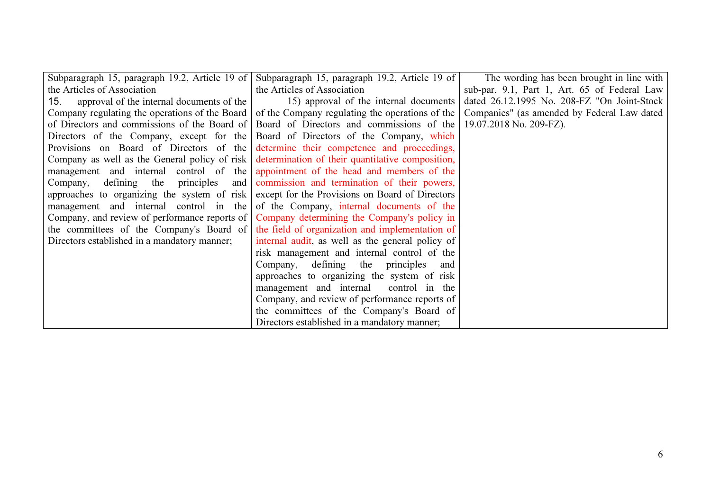|                                                  | Subparagraph 15, paragraph 19.2, Article 19 of Subparagraph 15, paragraph 19.2, Article 19 of                  | The wording has been brought in line with    |
|--------------------------------------------------|----------------------------------------------------------------------------------------------------------------|----------------------------------------------|
| the Articles of Association                      | the Articles of Association                                                                                    | sub-par. 9.1, Part 1, Art. 65 of Federal Law |
| approval of the internal documents of the<br>15. | 15) approval of the internal documents                                                                         | dated 26.12.1995 No. 208-FZ "On Joint-Stock  |
|                                                  | Company regulating the operations of the Board $\vert$ of the Company regulating the operations of the $\vert$ | Companies" (as amended by Federal Law dated  |
|                                                  | of Directors and commissions of the Board of $\vert$ Board of Directors and commissions of the $\vert$         | 19.07.2018 No. 209-FZ).                      |
|                                                  | Directors of the Company, except for the Board of Directors of the Company, which                              |                                              |
|                                                  | Provisions on Board of Directors of the determine their competence and proceedings,                            |                                              |
|                                                  | Company as well as the General policy of risk determination of their quantitative composition,                 |                                              |
|                                                  | management and internal control of the appointment of the head and members of the                              |                                              |
|                                                  | Company, defining the principles and commission and termination of their powers,                               |                                              |
|                                                  | approaches to organizing the system of risk except for the Provisions on Board of Directors                    |                                              |
|                                                  | management and internal control in the of the Company, internal documents of the                               |                                              |
|                                                  | Company, and review of performance reports of Company determining the Company's policy in                      |                                              |
|                                                  | the committees of the Company's Board of $\vert$ the field of organization and implementation of               |                                              |
| Directors established in a mandatory manner;     | internal audit, as well as the general policy of                                                               |                                              |
|                                                  | risk management and internal control of the                                                                    |                                              |
|                                                  | Company, defining the principles and                                                                           |                                              |
|                                                  | approaches to organizing the system of risk                                                                    |                                              |
|                                                  | management and internal control in the                                                                         |                                              |
|                                                  | Company, and review of performance reports of                                                                  |                                              |
|                                                  | the committees of the Company's Board of                                                                       |                                              |
|                                                  | Directors established in a mandatory manner;                                                                   |                                              |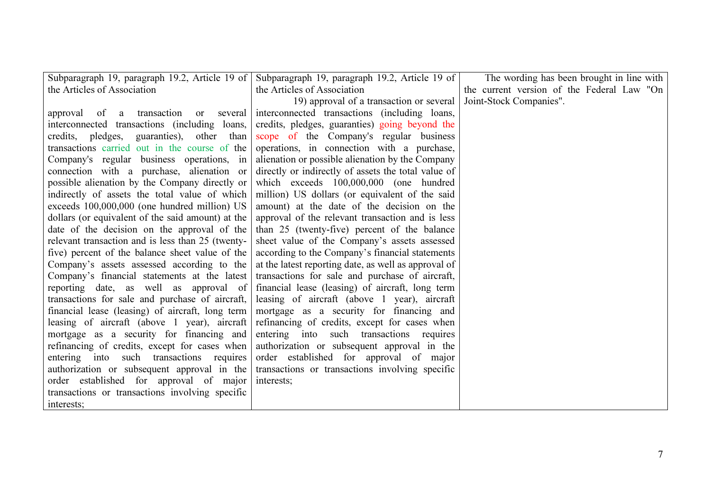| Subparagraph 19, paragraph 19.2, Article 19 of    | Subparagraph 19, paragraph 19.2, Article 19 of                                     | The wording has been brought in line with  |
|---------------------------------------------------|------------------------------------------------------------------------------------|--------------------------------------------|
| the Articles of Association                       | the Articles of Association                                                        | the current version of the Federal Law "On |
|                                                   | 19) approval of a transaction or several                                           | Joint-Stock Companies".                    |
|                                                   | approval of a transaction or several interconnected transactions (including loans, |                                            |
| interconnected transactions (including loans,     | credits, pledges, guaranties) going beyond the                                     |                                            |
| credits, pledges, guaranties), other than         | scope of the Company's regular business                                            |                                            |
| transactions carried out in the course of the     | operations, in connection with a purchase,                                         |                                            |
| Company's regular business operations, in         | alienation or possible alienation by the Company                                   |                                            |
| connection with a purchase, alienation or         | directly or indirectly of assets the total value of                                |                                            |
| possible alienation by the Company directly or    | which exceeds 100,000,000 (one hundred                                             |                                            |
| indirectly of assets the total value of which     | million) US dollars (or equivalent of the said                                     |                                            |
| exceeds 100,000,000 (one hundred million) US      | amount) at the date of the decision on the                                         |                                            |
| dollars (or equivalent of the said amount) at the | approval of the relevant transaction and is less                                   |                                            |
| date of the decision on the approval of the       | than 25 (twenty-five) percent of the balance                                       |                                            |
| relevant transaction and is less than 25 (twenty- | sheet value of the Company's assets assessed                                       |                                            |
| five) percent of the balance sheet value of the   | according to the Company's financial statements                                    |                                            |
| Company's assets assessed according to the        | at the latest reporting date, as well as approval of                               |                                            |
| Company's financial statements at the latest      | transactions for sale and purchase of aircraft,                                    |                                            |
| reporting date, as well as approval of            | financial lease (leasing) of aircraft, long term                                   |                                            |
| transactions for sale and purchase of aircraft,   | leasing of aircraft (above 1 year), aircraft                                       |                                            |
| financial lease (leasing) of aircraft, long term  | mortgage as a security for financing and                                           |                                            |
| leasing of aircraft (above 1 year), aircraft      | refinancing of credits, except for cases when                                      |                                            |
| mortgage as a security for financing and          | entering into such transactions requires                                           |                                            |
| refinancing of credits, except for cases when     | authorization or subsequent approval in the                                        |                                            |
| entering into such transactions requires          | order established for approval of major                                            |                                            |
| authorization or subsequent approval in the       | transactions or transactions involving specific                                    |                                            |
| order established for approval of major           | interests:                                                                         |                                            |
| transactions or transactions involving specific   |                                                                                    |                                            |
| interests;                                        |                                                                                    |                                            |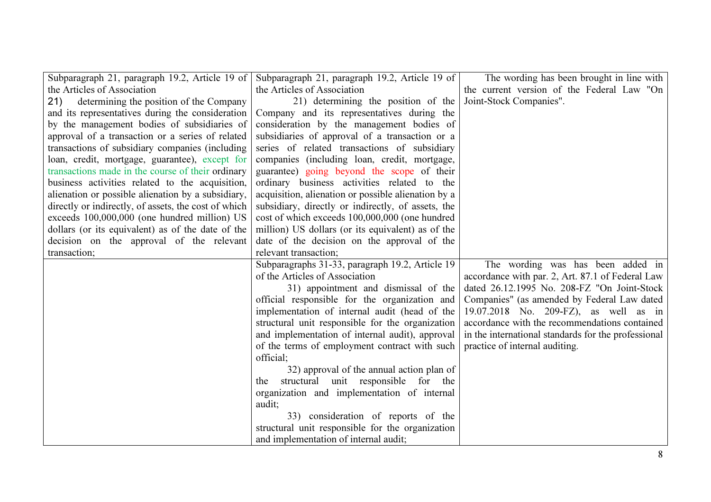| Subparagraph 21, paragraph 19.2, Article 19 of       | Subparagraph 21, paragraph 19.2, Article 19 of      | The wording has been brought in line with           |
|------------------------------------------------------|-----------------------------------------------------|-----------------------------------------------------|
| the Articles of Association                          | the Articles of Association                         | the current version of the Federal Law "On          |
| 21)<br>determining the position of the Company       | 21) determining the position of the                 | Joint-Stock Companies".                             |
| and its representatives during the consideration     | Company and its representatives during the          |                                                     |
| by the management bodies of subsidiaries of          | consideration by the management bodies of           |                                                     |
| approval of a transaction or a series of related     | subsidiaries of approval of a transaction or a      |                                                     |
| transactions of subsidiary companies (including)     | series of related transactions of subsidiary        |                                                     |
| loan, credit, mortgage, guarantee), except for       | companies (including loan, credit, mortgage,        |                                                     |
| transactions made in the course of their ordinary    | guarantee) going beyond the scope of their          |                                                     |
| business activities related to the acquisition,      | ordinary business activities related to the         |                                                     |
| alienation or possible alienation by a subsidiary,   | acquisition, alienation or possible alienation by a |                                                     |
| directly or indirectly, of assets, the cost of which | subsidiary, directly or indirectly, of assets, the  |                                                     |
| exceeds 100,000,000 (one hundred million) US         | cost of which exceeds 100,000,000 (one hundred      |                                                     |
| dollars (or its equivalent) as of the date of the    | million) US dollars (or its equivalent) as of the   |                                                     |
| decision on the approval of the relevant             | date of the decision on the approval of the         |                                                     |
| transaction;                                         | relevant transaction;                               |                                                     |
|                                                      | Subparagraphs 31-33, paragraph 19.2, Article 19     | The wording was has been added in                   |
|                                                      | of the Articles of Association                      | accordance with par. 2, Art. 87.1 of Federal Law    |
|                                                      | 31) appointment and dismissal of the                | dated 26.12.1995 No. 208-FZ "On Joint-Stock         |
|                                                      | official responsible for the organization and       | Companies" (as amended by Federal Law dated         |
|                                                      | implementation of internal audit (head of the       | 19.07.2018 No. 209-FZ), as well as in               |
|                                                      | structural unit responsible for the organization    | accordance with the recommendations contained       |
|                                                      | and implementation of internal audit), approval     | in the international standards for the professional |
|                                                      | of the terms of employment contract with such       | practice of internal auditing.                      |
|                                                      | official;                                           |                                                     |
|                                                      | 32) approval of the annual action plan of           |                                                     |
|                                                      | structural unit responsible for the<br>the          |                                                     |
|                                                      | organization and implementation of internal         |                                                     |
|                                                      | audit;                                              |                                                     |
|                                                      | 33) consideration of reports of the                 |                                                     |
|                                                      | structural unit responsible for the organization    |                                                     |
|                                                      | and implementation of internal audit;               |                                                     |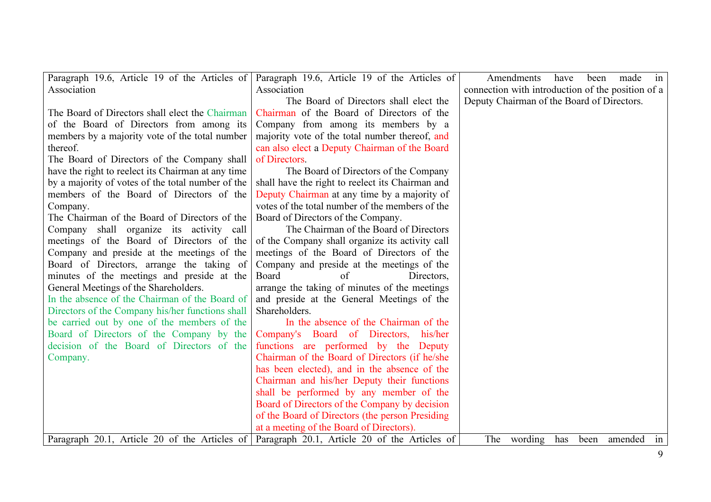| Paragraph 19.6, Article 19 of the Articles of      | Paragraph 19.6, Article 19 of the Articles of    | Amendments<br>have<br>been<br>made<br>in          |
|----------------------------------------------------|--------------------------------------------------|---------------------------------------------------|
| Association                                        | Association                                      | connection with introduction of the position of a |
|                                                    | The Board of Directors shall elect the           | Deputy Chairman of the Board of Directors.        |
| The Board of Directors shall elect the Chairman    | Chairman of the Board of Directors of the        |                                                   |
| of the Board of Directors from among its           | Company from among its members by a              |                                                   |
| members by a majority vote of the total number     | majority vote of the total number thereof, and   |                                                   |
| thereof.                                           | can also elect a Deputy Chairman of the Board    |                                                   |
| The Board of Directors of the Company shall        | of Directors.                                    |                                                   |
| have the right to reelect its Chairman at any time | The Board of Directors of the Company            |                                                   |
| by a majority of votes of the total number of the  | shall have the right to reelect its Chairman and |                                                   |
| members of the Board of Directors of the           | Deputy Chairman at any time by a majority of     |                                                   |
| Company.                                           | votes of the total number of the members of the  |                                                   |
| The Chairman of the Board of Directors of the      | Board of Directors of the Company.               |                                                   |
| Company shall organize its activity call           | The Chairman of the Board of Directors           |                                                   |
| meetings of the Board of Directors of the          | of the Company shall organize its activity call  |                                                   |
| Company and preside at the meetings of the         | meetings of the Board of Directors of the        |                                                   |
| Board of Directors, arrange the taking of          | Company and preside at the meetings of the       |                                                   |
| minutes of the meetings and preside at the         | Board<br>of<br>Directors.                        |                                                   |
| General Meetings of the Shareholders.              | arrange the taking of minutes of the meetings    |                                                   |
| In the absence of the Chairman of the Board of     | and preside at the General Meetings of the       |                                                   |
| Directors of the Company his/her functions shall   | Shareholders.                                    |                                                   |
| be carried out by one of the members of the        | In the absence of the Chairman of the            |                                                   |
| Board of Directors of the Company by the           | Company's Board of Directors,<br>his/her         |                                                   |
| decision of the Board of Directors of the          | functions are performed by the Deputy            |                                                   |
| Company.                                           | Chairman of the Board of Directors (if he/she    |                                                   |
|                                                    | has been elected), and in the absence of the     |                                                   |
|                                                    | Chairman and his/her Deputy their functions      |                                                   |
|                                                    | shall be performed by any member of the          |                                                   |
|                                                    | Board of Directors of the Company by decision    |                                                   |
|                                                    | of the Board of Directors (the person Presiding  |                                                   |
|                                                    | at a meeting of the Board of Directors).         |                                                   |
| Paragraph 20.1, Article 20 of the Articles of      | Paragraph 20.1, Article 20 of the Articles of    | been amended<br>The wording<br>has<br>in          |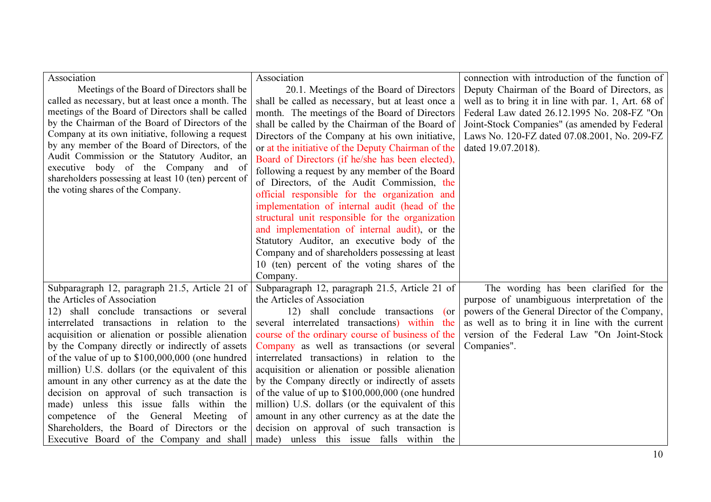| Association                                          | Association                                        | connection with introduction of the function of     |
|------------------------------------------------------|----------------------------------------------------|-----------------------------------------------------|
| Meetings of the Board of Directors shall be          | 20.1. Meetings of the Board of Directors           | Deputy Chairman of the Board of Directors, as       |
| called as necessary, but at least once a month. The  | shall be called as necessary, but at least once a  | well as to bring it in line with par. 1, Art. 68 of |
| meetings of the Board of Directors shall be called   | month. The meetings of the Board of Directors      | Federal Law dated 26.12.1995 No. 208-FZ "On         |
| by the Chairman of the Board of Directors of the     | shall be called by the Chairman of the Board of    | Joint-Stock Companies" (as amended by Federal       |
| Company at its own initiative, following a request   | Directors of the Company at his own initiative,    | Laws No. 120-FZ dated 07.08.2001, No. 209-FZ        |
| by any member of the Board of Directors, of the      | or at the initiative of the Deputy Chairman of the | dated 19.07.2018).                                  |
| Audit Commission or the Statutory Auditor, an        | Board of Directors (if he/she has been elected),   |                                                     |
| executive body of the Company and of                 | following a request by any member of the Board     |                                                     |
| shareholders possessing at least 10 (ten) percent of | of Directors, of the Audit Commission, the         |                                                     |
| the voting shares of the Company.                    | official responsible for the organization and      |                                                     |
|                                                      | implementation of internal audit (head of the      |                                                     |
|                                                      | structural unit responsible for the organization   |                                                     |
|                                                      | and implementation of internal audit), or the      |                                                     |
|                                                      | Statutory Auditor, an executive body of the        |                                                     |
|                                                      | Company and of shareholders possessing at least    |                                                     |
|                                                      | 10 (ten) percent of the voting shares of the       |                                                     |
|                                                      | Company.                                           |                                                     |
| Subparagraph 12, paragraph 21.5, Article 21 of       | Subparagraph 12, paragraph 21.5, Article 21 of     | The wording has been clarified for the              |
| the Articles of Association                          | the Articles of Association                        | purpose of unambiguous interpretation of the        |
| shall conclude transactions or several<br>12)        | 12) shall conclude transactions<br>$($ or          | powers of the General Director of the Company,      |
| interrelated transactions in relation to the         | several interrelated transactions) within<br>the   | as well as to bring it in line with the current     |
| acquisition or alienation or possible alienation     | course of the ordinary course of business of the   | version of the Federal Law "On Joint-Stock          |
| by the Company directly or indirectly of assets      | Company as well as transactions (or several        | Companies".                                         |
| of the value of up to \$100,000,000 (one hundred     | interrelated transactions) in relation to the      |                                                     |
| million) U.S. dollars (or the equivalent of this     | acquisition or alienation or possible alienation   |                                                     |
| amount in any other currency as at the date the      | by the Company directly or indirectly of assets    |                                                     |
| decision on approval of such transaction is          | of the value of up to $$100,000,000$ (one hundred  |                                                     |
| made) unless this issue falls within the             | million) U.S. dollars (or the equivalent of this   |                                                     |
| competence of the General Meeting<br>- of            | amount in any other currency as at the date the    |                                                     |
| Shareholders, the Board of Directors or the          | decision on approval of such transaction is        |                                                     |
| Executive Board of the Company and shall             | made) unless this issue falls within the           |                                                     |
|                                                      |                                                    |                                                     |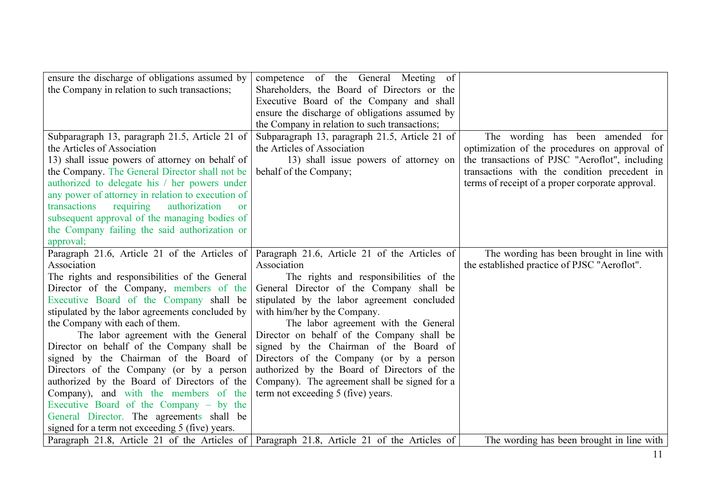| ensure the discharge of obligations assumed by                                              | competence of the General Meeting of           |                                                  |
|---------------------------------------------------------------------------------------------|------------------------------------------------|--------------------------------------------------|
| the Company in relation to such transactions;                                               | Shareholders, the Board of Directors or the    |                                                  |
|                                                                                             | Executive Board of the Company and shall       |                                                  |
|                                                                                             | ensure the discharge of obligations assumed by |                                                  |
|                                                                                             | the Company in relation to such transactions;  |                                                  |
| Subparagraph 13, paragraph 21.5, Article 21 of                                              | Subparagraph 13, paragraph 21.5, Article 21 of | The wording has been amended for                 |
| the Articles of Association                                                                 | the Articles of Association                    | optimization of the procedures on approval of    |
| 13) shall issue powers of attorney on behalf of                                             | 13) shall issue powers of attorney on          | the transactions of PJSC "Aeroflot", including   |
| the Company. The General Director shall not be                                              | behalf of the Company;                         | transactions with the condition precedent in     |
| authorized to delegate his / her powers under                                               |                                                | terms of receipt of a proper corporate approval. |
| any power of attorney in relation to execution of                                           |                                                |                                                  |
| transactions<br>requiring<br>authorization<br>or                                            |                                                |                                                  |
| subsequent approval of the managing bodies of                                               |                                                |                                                  |
| the Company failing the said authorization or                                               |                                                |                                                  |
| approval;                                                                                   |                                                |                                                  |
| Paragraph 21.6, Article 21 of the Articles of                                               | Paragraph 21.6, Article 21 of the Articles of  | The wording has been brought in line with        |
| Association                                                                                 | Association                                    | the established practice of PJSC "Aeroflot".     |
| The rights and responsibilities of the General                                              | The rights and responsibilities of the         |                                                  |
| Director of the Company, members of the                                                     | General Director of the Company shall be       |                                                  |
| Executive Board of the Company shall be                                                     | stipulated by the labor agreement concluded    |                                                  |
| stipulated by the labor agreements concluded by                                             | with him/her by the Company.                   |                                                  |
| the Company with each of them.                                                              | The labor agreement with the General           |                                                  |
| The labor agreement with the General                                                        | Director on behalf of the Company shall be     |                                                  |
| Director on behalf of the Company shall be                                                  | signed by the Chairman of the Board of         |                                                  |
| signed by the Chairman of the Board of                                                      | Directors of the Company (or by a person       |                                                  |
| Directors of the Company (or by a person                                                    | authorized by the Board of Directors of the    |                                                  |
| authorized by the Board of Directors of the                                                 | Company). The agreement shall be signed for a  |                                                  |
| Company), and with the members of the                                                       | term not exceeding 5 (five) years.             |                                                  |
| Executive Board of the Company $-$ by the                                                   |                                                |                                                  |
| General Director. The agreements shall be                                                   |                                                |                                                  |
| signed for a term not exceeding 5 (five) years.                                             |                                                |                                                  |
| Paragraph 21.8, Article 21 of the Articles of Paragraph 21.8, Article 21 of the Articles of |                                                | The wording has been brought in line with        |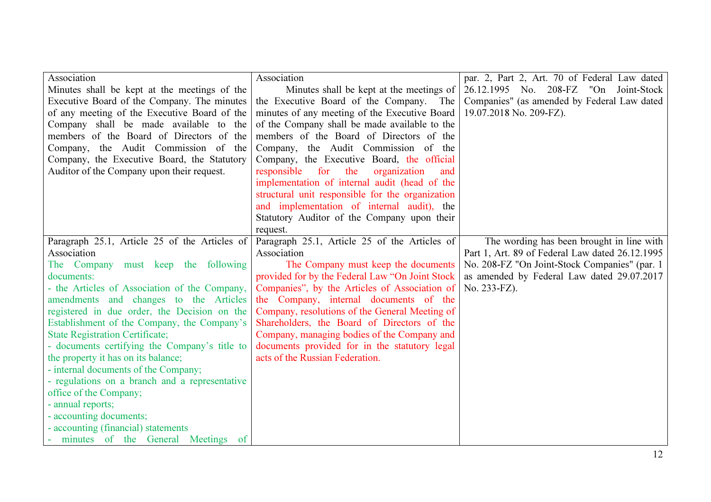| Association                                    | Association                                      | par. 2, Part 2, Art. 70 of Federal Law dated    |
|------------------------------------------------|--------------------------------------------------|-------------------------------------------------|
| Minutes shall be kept at the meetings of the   | Minutes shall be kept at the meetings of         | 26.12.1995 No. 208-FZ "On Joint-Stock           |
| Executive Board of the Company. The minutes    | the Executive Board of the Company. The          | Companies" (as amended by Federal Law dated     |
| of any meeting of the Executive Board of the   | minutes of any meeting of the Executive Board    | 19.07.2018 No. 209-FZ).                         |
| Company shall be made available to the         | of the Company shall be made available to the    |                                                 |
| members of the Board of Directors of the       | members of the Board of Directors of the         |                                                 |
| Company, the Audit Commission of the           | Company, the Audit Commission of the             |                                                 |
| Company, the Executive Board, the Statutory    | Company, the Executive Board, the official       |                                                 |
| Auditor of the Company upon their request.     | for<br>responsible<br>the<br>organization<br>and |                                                 |
|                                                | implementation of internal audit (head of the    |                                                 |
|                                                | structural unit responsible for the organization |                                                 |
|                                                | and implementation of internal audit), the       |                                                 |
|                                                | Statutory Auditor of the Company upon their      |                                                 |
|                                                | request.                                         |                                                 |
| Paragraph 25.1, Article 25 of the Articles of  | Paragraph 25.1, Article 25 of the Articles of    | The wording has been brought in line with       |
| Association                                    | Association                                      | Part 1, Art. 89 of Federal Law dated 26.12.1995 |
| The Company must keep the following            | The Company must keep the documents              | No. 208-FZ "On Joint-Stock Companies" (par. 1   |
| documents:                                     | provided for by the Federal Law "On Joint Stock  | as amended by Federal Law dated 29.07.2017      |
| - the Articles of Association of the Company,  | Companies", by the Articles of Association of    | No. 233-FZ).                                    |
| amendments and changes to the Articles         | the Company, internal documents of the           |                                                 |
| registered in due order, the Decision on the   | Company, resolutions of the General Meeting of   |                                                 |
| Establishment of the Company, the Company's    | Shareholders, the Board of Directors of the      |                                                 |
| <b>State Registration Certificate;</b>         | Company, managing bodies of the Company and      |                                                 |
| - documents certifying the Company's title to  | documents provided for in the statutory legal    |                                                 |
| the property it has on its balance;            | acts of the Russian Federation.                  |                                                 |
| - internal documents of the Company;           |                                                  |                                                 |
| - regulations on a branch and a representative |                                                  |                                                 |
| office of the Company;                         |                                                  |                                                 |
| - annual reports;                              |                                                  |                                                 |
| - accounting documents;                        |                                                  |                                                 |
| - accounting (financial) statements            |                                                  |                                                 |
| - minutes of the General Meetings of           |                                                  |                                                 |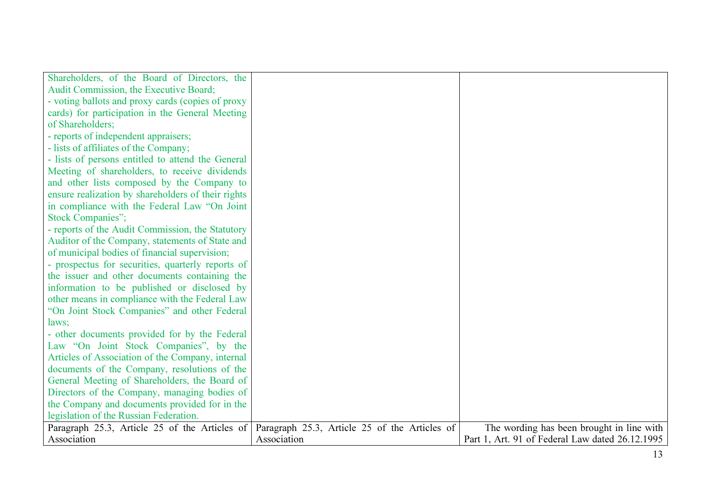| Shareholders, of the Board of Directors, the       |                                               |                                                 |
|----------------------------------------------------|-----------------------------------------------|-------------------------------------------------|
| Audit Commission, the Executive Board;             |                                               |                                                 |
| - voting ballots and proxy cards (copies of proxy  |                                               |                                                 |
| cards) for participation in the General Meeting    |                                               |                                                 |
| of Shareholders;                                   |                                               |                                                 |
| - reports of independent appraisers;               |                                               |                                                 |
| - lists of affiliates of the Company;              |                                               |                                                 |
| - lists of persons entitled to attend the General  |                                               |                                                 |
| Meeting of shareholders, to receive dividends      |                                               |                                                 |
| and other lists composed by the Company to         |                                               |                                                 |
| ensure realization by shareholders of their rights |                                               |                                                 |
| in compliance with the Federal Law "On Joint"      |                                               |                                                 |
| <b>Stock Companies";</b>                           |                                               |                                                 |
| - reports of the Audit Commission, the Statutory   |                                               |                                                 |
| Auditor of the Company, statements of State and    |                                               |                                                 |
| of municipal bodies of financial supervision;      |                                               |                                                 |
| - prospectus for securities, quarterly reports of  |                                               |                                                 |
| the issuer and other documents containing the      |                                               |                                                 |
| information to be published or disclosed by        |                                               |                                                 |
| other means in compliance with the Federal Law     |                                               |                                                 |
| "On Joint Stock Companies" and other Federal       |                                               |                                                 |
| laws;                                              |                                               |                                                 |
| - other documents provided for by the Federal      |                                               |                                                 |
| Law "On Joint Stock Companies", by the             |                                               |                                                 |
| Articles of Association of the Company, internal   |                                               |                                                 |
| documents of the Company, resolutions of the       |                                               |                                                 |
| General Meeting of Shareholders, the Board of      |                                               |                                                 |
| Directors of the Company, managing bodies of       |                                               |                                                 |
| the Company and documents provided for in the      |                                               |                                                 |
| legislation of the Russian Federation.             |                                               |                                                 |
| Paragraph 25.3, Article 25 of the Articles of      | Paragraph 25.3, Article 25 of the Articles of | The wording has been brought in line with       |
| Association                                        | Association                                   | Part 1, Art. 91 of Federal Law dated 26.12.1995 |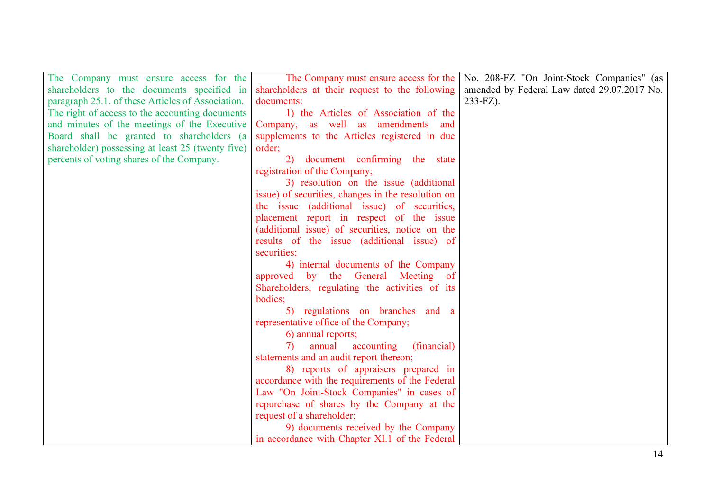| The Company must ensure access for the            | The Company must ensure access for the               | No. 208-FZ "On Joint-Stock Companies" (as   |
|---------------------------------------------------|------------------------------------------------------|---------------------------------------------|
| shareholders to the documents specified in        | shareholders at their request to the following       | amended by Federal Law dated 29.07.2017 No. |
| paragraph 25.1. of these Articles of Association. | documents:                                           | $233-FZ$ ).                                 |
| The right of access to the accounting documents   | 1) the Articles of Association of the                |                                             |
| and minutes of the meetings of the Executive      | Company, as well as amendments<br>and                |                                             |
| Board shall be granted to shareholders (a         | supplements to the Articles registered in due        |                                             |
| shareholder) possessing at least 25 (twenty five) | order;                                               |                                             |
| percents of voting shares of the Company.         | document confirming the state<br>2)                  |                                             |
|                                                   | registration of the Company;                         |                                             |
|                                                   | 3) resolution on the issue (additional               |                                             |
|                                                   | issue) of securities, changes in the resolution on   |                                             |
|                                                   | the issue (additional issue) of securities,          |                                             |
|                                                   | placement report in respect of the issue             |                                             |
|                                                   | (additional issue) of securities, notice on the      |                                             |
|                                                   | results of the issue (additional issue) of           |                                             |
|                                                   | securities;                                          |                                             |
|                                                   | 4) internal documents of the Company                 |                                             |
|                                                   | approved by the General Meeting of                   |                                             |
|                                                   | Shareholders, regulating the activities of its       |                                             |
|                                                   | bodies;                                              |                                             |
|                                                   | 5) regulations on branches and a                     |                                             |
|                                                   | representative office of the Company;                |                                             |
|                                                   | 6) annual reports;                                   |                                             |
|                                                   | accounting<br>annual<br>(financial)<br>$\mathcal{D}$ |                                             |
|                                                   | statements and an audit report thereon;              |                                             |
|                                                   | 8) reports of appraisers prepared in                 |                                             |
|                                                   | accordance with the requirements of the Federal      |                                             |
|                                                   | Law "On Joint-Stock Companies" in cases of           |                                             |
|                                                   | repurchase of shares by the Company at the           |                                             |
|                                                   | request of a shareholder;                            |                                             |
|                                                   | 9) documents received by the Company                 |                                             |
|                                                   | in accordance with Chapter XI.1 of the Federal       |                                             |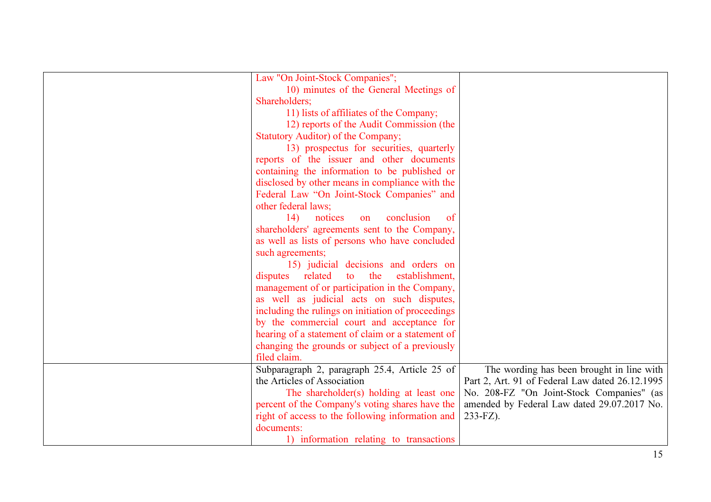| Law "On Joint-Stock Companies";                    |                                                 |
|----------------------------------------------------|-------------------------------------------------|
| 10) minutes of the General Meetings of             |                                                 |
| Shareholders;                                      |                                                 |
| 11) lists of affiliates of the Company;            |                                                 |
| 12) reports of the Audit Commission (the           |                                                 |
| Statutory Auditor) of the Company;                 |                                                 |
| 13) prospectus for securities, quarterly           |                                                 |
| reports of the issuer and other documents          |                                                 |
| containing the information to be published or      |                                                 |
| disclosed by other means in compliance with the    |                                                 |
| Federal Law "On Joint-Stock Companies" and         |                                                 |
| other federal laws;                                |                                                 |
| 14)<br>conclusion<br>notices<br>of<br>on           |                                                 |
| shareholders' agreements sent to the Company,      |                                                 |
| as well as lists of persons who have concluded     |                                                 |
| such agreements;                                   |                                                 |
| 15) judicial decisions and orders on               |                                                 |
| related<br>to the<br>establishment,<br>disputes    |                                                 |
| management of or participation in the Company,     |                                                 |
| as well as judicial acts on such disputes,         |                                                 |
| including the rulings on initiation of proceedings |                                                 |
| by the commercial court and acceptance for         |                                                 |
| hearing of a statement of claim or a statement of  |                                                 |
| changing the grounds or subject of a previously    |                                                 |
| filed claim.                                       |                                                 |
| Subparagraph 2, paragraph 25.4, Article 25 of      | The wording has been brought in line with       |
| the Articles of Association                        | Part 2, Art. 91 of Federal Law dated 26.12.1995 |
| The shareholder(s) holding at least one            | No. 208-FZ "On Joint-Stock Companies" (as       |
| percent of the Company's voting shares have the    | amended by Federal Law dated 29.07.2017 No.     |
| right of access to the following information and   | 233-FZ).                                        |
| documents:                                         |                                                 |
| 1) information relating to transactions            |                                                 |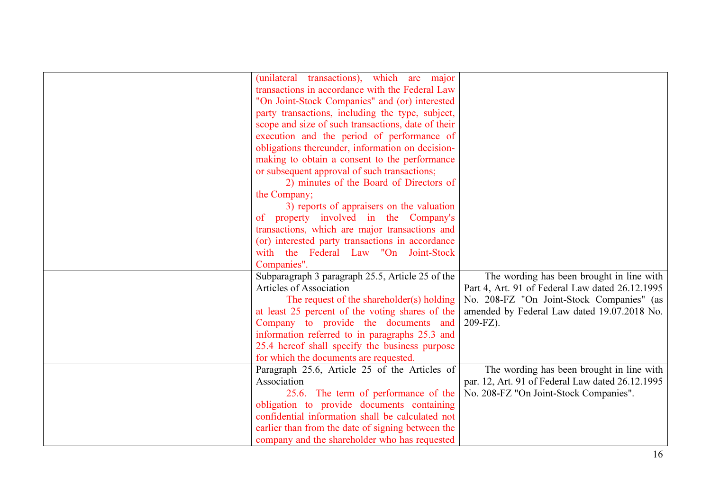| (unilateral transactions), which are major         |                                                  |
|----------------------------------------------------|--------------------------------------------------|
| transactions in accordance with the Federal Law    |                                                  |
| "On Joint-Stock Companies" and (or) interested     |                                                  |
| party transactions, including the type, subject,   |                                                  |
| scope and size of such transactions, date of their |                                                  |
| execution and the period of performance of         |                                                  |
| obligations thereunder, information on decision-   |                                                  |
| making to obtain a consent to the performance      |                                                  |
| or subsequent approval of such transactions;       |                                                  |
| 2) minutes of the Board of Directors of            |                                                  |
| the Company;                                       |                                                  |
| 3) reports of appraisers on the valuation          |                                                  |
| of property involved in the Company's              |                                                  |
| transactions, which are major transactions and     |                                                  |
| (or) interested party transactions in accordance   |                                                  |
| with the Federal Law "On Joint-Stock               |                                                  |
| Companies".                                        |                                                  |
| Subparagraph 3 paragraph 25.5, Article 25 of the   | The wording has been brought in line with        |
| Articles of Association                            | Part 4, Art. 91 of Federal Law dated 26.12.1995  |
| The request of the shareholder(s) holding          | No. 208-FZ "On Joint-Stock Companies" (as        |
| at least 25 percent of the voting shares of the    | amended by Federal Law dated 19.07.2018 No.      |
| Company to provide the documents and               | 209-FZ).                                         |
| information referred to in paragraphs 25.3 and     |                                                  |
| 25.4 hereof shall specify the business purpose     |                                                  |
| for which the documents are requested.             |                                                  |
| Paragraph 25.6, Article 25 of the Articles of      | The wording has been brought in line with        |
| Association                                        | par. 12, Art. 91 of Federal Law dated 26.12.1995 |
| 25.6. The term of performance of the               | No. 208-FZ "On Joint-Stock Companies".           |
| obligation to provide documents containing         |                                                  |
| confidential information shall be calculated not   |                                                  |
| earlier than from the date of signing between the  |                                                  |
| company and the shareholder who has requested      |                                                  |
|                                                    |                                                  |